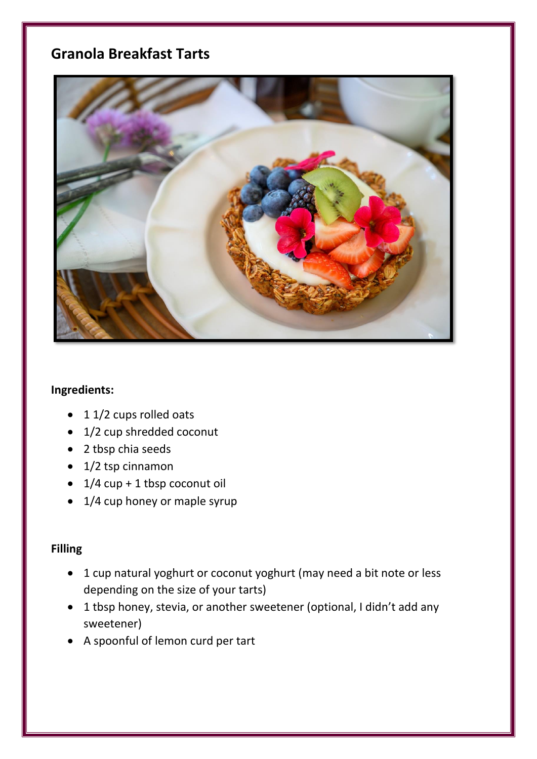## **Granola Breakfast Tarts**



## **Ingredients:**

- 1 1/2 cups rolled oats
- 1/2 cup shredded coconut
- 2 tbsp chia seeds
- 1/2 tsp cinnamon
- $\bullet$  1/4 cup + 1 tbsp coconut oil
- 1/4 cup honey or maple syrup

## **Filling**

- 1 cup natural yoghurt or coconut yoghurt (may need a bit note or less depending on the size of your tarts)
- 1 tbsp honey, stevia, or another sweetener (optional, I didn't add any sweetener)
- A spoonful of lemon curd per tart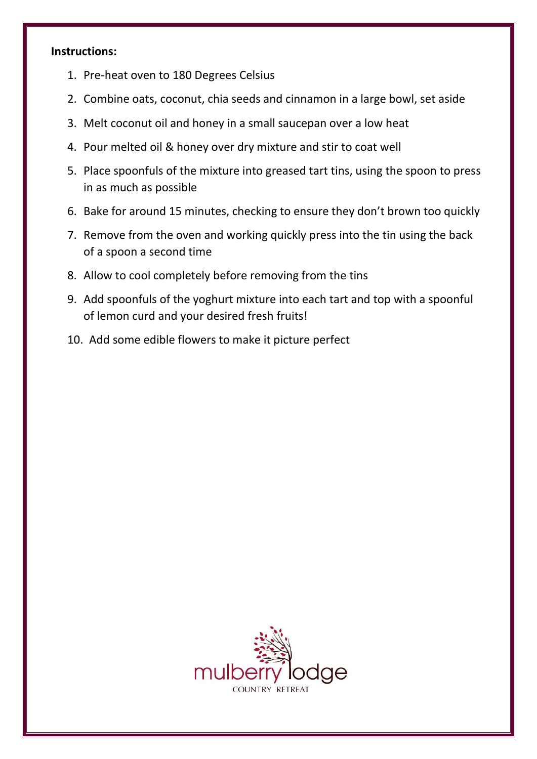## **Instructions:**

- 1. Pre-heat oven to 180 Degrees Celsius
- 2. Combine oats, coconut, chia seeds and cinnamon in a large bowl, set aside
- 3. Melt coconut oil and honey in a small saucepan over a low heat
- 4. Pour melted oil & honey over dry mixture and stir to coat well
- 5. Place spoonfuls of the mixture into greased tart tins, using the spoon to press in as much as possible
- 6. Bake for around 15 minutes, checking to ensure they don't brown too quickly
- 7. Remove from the oven and working quickly press into the tin using the back of a spoon a second time
- 8. Allow to cool completely before removing from the tins
- 9. Add spoonfuls of the yoghurt mixture into each tart and top with a spoonful of lemon curd and your desired fresh fruits!
- 10. Add some edible flowers to make it picture perfect